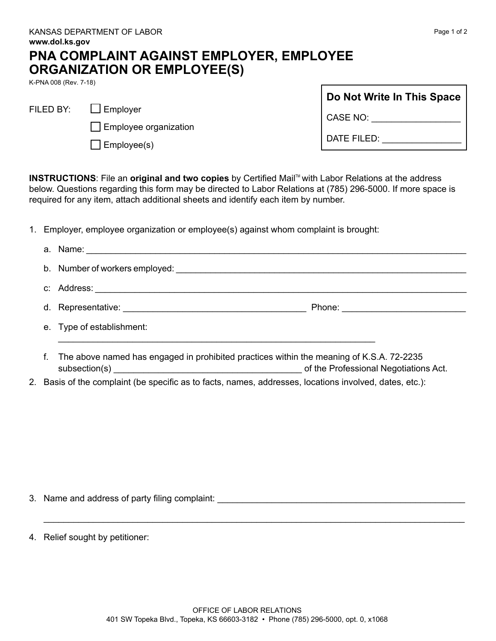| a.      |                                                                                                               |                                    |
|---------|---------------------------------------------------------------------------------------------------------------|------------------------------------|
|         |                                                                                                               |                                    |
| C.      | Address: 2008. 2009. 2009. 2010. 2010. 2010. 2010. 2010. 2010. 2010. 2010. 2010. 2010. 2010. 2010. 2010. 2010 |                                    |
|         |                                                                                                               | Phone: <u>____________________</u> |
|         | e. Type of establishment:                                                                                     |                                    |
|         | The above named has engaged in prohibited practices within the meaning of K.S.A. 72-2235                      |                                    |
| $2_{1}$ | Basis of the complaint (be specific as to facts, names, addresses, locations involved, dates, etc.):          |                                    |
|         |                                                                                                               |                                    |

## **PNA COMPLAINT AGAINST EMPLOYER, EMPLOYEE ORGANIZATION OR EMPLOYEE(S)**

K-PNA 008 (Rev. 7-18)

| $\Box$ Employer |
|-----------------|
|                 |

|  | Employee organization |  |
|--|-----------------------|--|
|--|-----------------------|--|

| $\Box$ Employee(s) |
|--------------------|
|--------------------|

| Do Not Write In This Space |  |  |
|----------------------------|--|--|
| CASE NO:                   |  |  |
| DATE FILED:                |  |  |

**INSTRUCTIONS:** File an **original and two copies** by Certified Mail<sup>TM</sup> with Labor Relations at the address below. Questions regarding this form may be directed to Labor Relations at (785) 296-5000. If more space is required for any item, attach additional sheets and identify each item by number.

1. Employer, employee organization or employee(s) against whom complaint is brought:

- 3. Name and address of party filing complaint:
- 4. Relief sought by petitioner:

\_\_\_\_\_\_\_\_\_\_\_\_\_\_\_\_\_\_\_\_\_\_\_\_\_\_\_\_\_\_\_\_\_\_\_\_\_\_\_\_\_\_\_\_\_\_\_\_\_\_\_\_\_\_\_\_\_\_\_\_\_\_\_\_\_\_\_\_\_\_\_\_\_\_\_\_\_\_\_\_\_\_\_\_\_